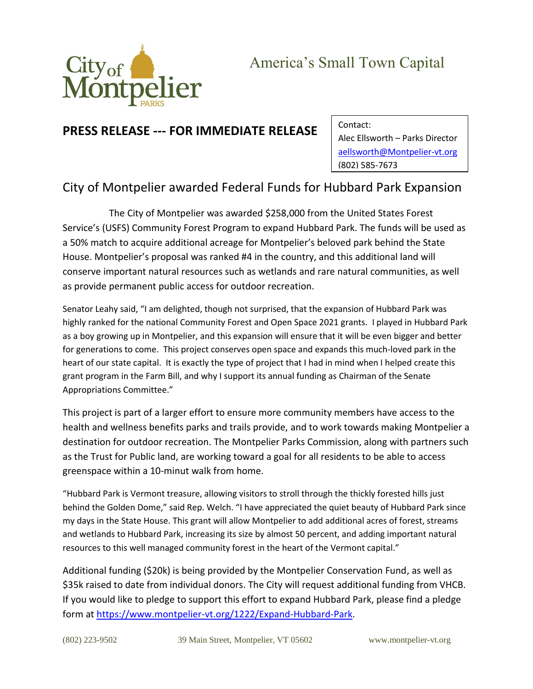

## **PRESS RELEASE --- FOR IMMEDIATE RELEASE**

Contact: Alec Ellsworth – Parks Director [aellsworth@Montpelier-vt.org](mailto:aellsworth@Montpelier-vt.org) (802) 585-7673

## City of Montpelier awarded Federal Funds for Hubbard Park Expansion

The City of Montpelier was awarded \$258,000 from the United States Forest Service's (USFS) Community Forest Program to expand Hubbard Park. The funds will be used as a 50% match to acquire additional acreage for Montpelier's beloved park behind the State House. Montpelier's proposal was ranked #4 in the country, and this additional land will conserve important natural resources such as wetlands and rare natural communities, as well as provide permanent public access for outdoor recreation.

Senator Leahy said, "I am delighted, though not surprised, that the expansion of Hubbard Park was highly ranked for the national Community Forest and Open Space 2021 grants. I played in Hubbard Park as a boy growing up in Montpelier, and this expansion will ensure that it will be even bigger and better for generations to come. This project conserves open space and expands this much-loved park in the heart of our state capital. It is exactly the type of project that I had in mind when I helped create this grant program in the Farm Bill, and why I support its annual funding as Chairman of the Senate Appropriations Committee."

This project is part of a larger effort to ensure more community members have access to the health and wellness benefits parks and trails provide, and to work towards making Montpelier a destination for outdoor recreation. The Montpelier Parks Commission, along with partners such as the Trust for Public land, are working toward a goal for all residents to be able to access greenspace within a 10-minut walk from home.

"Hubbard Park is Vermont treasure, allowing visitors to stroll through the thickly forested hills just behind the Golden Dome," said Rep. Welch. "I have appreciated the quiet beauty of Hubbard Park since my days in the State House. This grant will allow Montpelier to add additional acres of forest, streams and wetlands to Hubbard Park, increasing its size by almost 50 percent, and adding important natural resources to this well managed community forest in the heart of the Vermont capital."

Additional funding (\$20k) is being provided by the Montpelier Conservation Fund, as well as \$35k raised to date from individual donors. The City will request additional funding from VHCB. If you would like to pledge to support this effort to expand Hubbard Park, please find a pledge form at [https://www.montpelier-vt.org/1222/Expand-Hubbard-Park.](https://www.montpelier-vt.org/1222/Expand-Hubbard-Park)